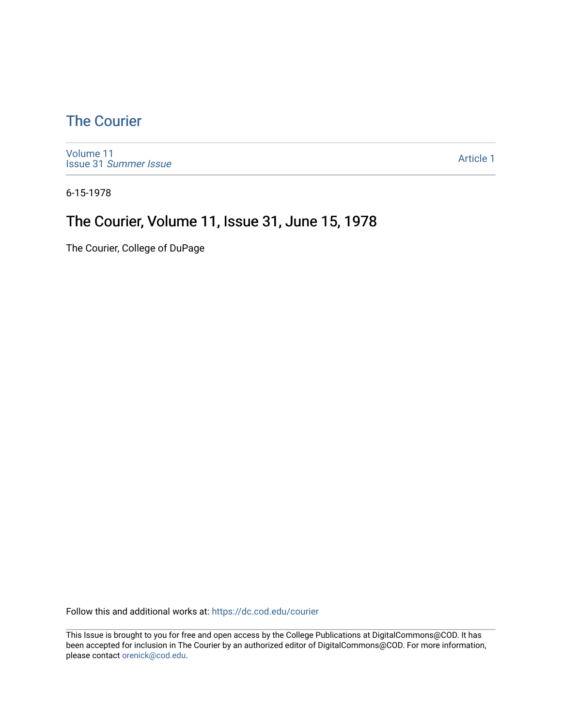### [The Courier](https://dc.cod.edu/courier)

[Volume 11](https://dc.cod.edu/courier/vol11) Issue 31 [Summer Issue](https://dc.cod.edu/courier/vol11/iss31)

[Article 1](https://dc.cod.edu/courier/vol11/iss31/1) 

6-15-1978

### The Courier, Volume 11, Issue 31, June 15, 1978

The Courier, College of DuPage

Follow this and additional works at: [https://dc.cod.edu/courier](https://dc.cod.edu/courier?utm_source=dc.cod.edu%2Fcourier%2Fvol11%2Fiss31%2F1&utm_medium=PDF&utm_campaign=PDFCoverPages)

This Issue is brought to you for free and open access by the College Publications at DigitalCommons@COD. It has been accepted for inclusion in The Courier by an authorized editor of DigitalCommons@COD. For more information, please contact [orenick@cod.edu.](mailto:orenick@cod.edu)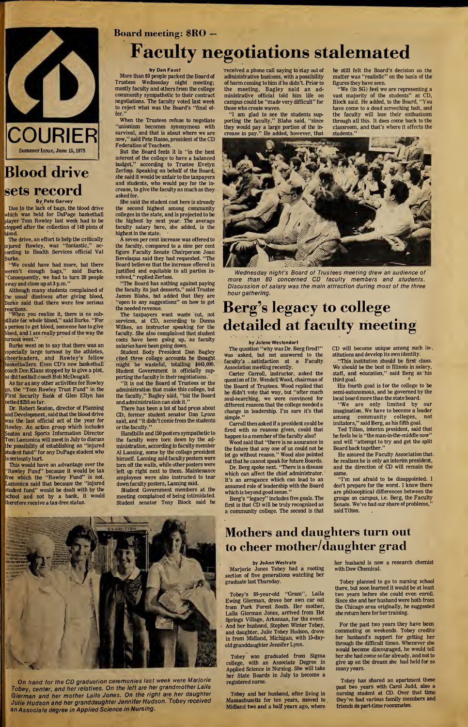

### Blood drive sets record By Pete Garvey

Due to the lack of bags, the blood drive which was held for DuPage basketball player Tom Rowley last week had to be stopped after the collection of 148 pints of blood.

The drive, an effort to help the critically injured Rowley, was "fantastic," ac cording to Health Services official Val Burke.

"We could have had more, but there weren't enough bags," said Burke. "Consequently, we had to turn 20 people away and close up at <sup>3</sup> p.m."

Although many students complained of the usual dizziness after giving blood, Burke said that there were few serious reactions.<br>"When you realize it, there is no sub-

stitute for whole blood," said Burke. "For a person to get blood, someone has to give blood, and I am really proud of the way the turnout went."

Burke went on to say that there was an especially large turnout by the athletes, cheerleaders, and Rowley's fellow basketballers. Even CD's new basketball coach Don Klaas stopped by to give a pint, as did football coach Bob McDougall.

As far as any other activities for Rowley go, the "Tom Rowley Trust Fund" in the First Security Bank of Glen Ellyn has netted \$255 so far.

Dr. Robert Seaton, director of Planning and Development, said that the blood drive was the last official act of the year for Rowley. An action group which includes Seaton and Sports Information Director Tom Lamonica will meet in July to discuss the possibility of establishing an "injured student fund" for any DuPage student who is seriously hurt.

This would have an advantage over the "Rowley Fund" because it would be tax free which the "Rowley Fund" is not. Lamonica said that because the "injured student fund" would be dealt with by the school and not by a bank, it would therefore receive a tax-free status.

# Board meeting: \$RO —

# **Faculty negotiations stalemated**

#### by Dan Faust

More than 80 people packed the Board of Trustees Wednesday night meeting; mostly faculty and othersfrom the college community sympathetic to their contract negotiations. The faculty voted last week to reject what was the Board's "final offer."

When the Trustees refuse to negotiate "unionism becomes synonymous with survival, and that is about where we are now," said Pete Russo, president of the CD Federation of Teachers.

But the Board feels it is "in the best interest of the college to have a balanced budget," according to Trustee Evelyn Zerfoss. Speaking on behalf of the Board, she said it would be unfair to the taxpayers and students, who would pay for the increase, to give the faculty as much as they asked for. She said the student cost here is already

the second highest among community colleges in the state, and is projected to be the highest by next year. The average faculty salary here, she added, is the highest in the state.

A seven per cent increase was offered to the faculty, compared to a nine per cent figure Faculty Senate Chairperson Joan Bevelaqua said they had requested. "The Board believes that the increase offered is justified and equitable to all parties involved," replied Zerfoss.

"The Board has nothing against paying the faculty its just desserts," said Trustee James Blaha, but added that they are "open to any suggestions" on how to get the needed revenue.

The taxpayers want waste cut, not services, at CD, according to Donna Wilkes, an instructor speaking for the faculty. She also complained that student costs have been going up, as faculty salaries have been going down.

Student Body President Dan Bagley cited three college accounts he thought might be wasteful, totalling \$445,000. Student Government is officially supporting the faculty in their negotiations.

"It is not the Board of Trustees or the administration that make this college, but the faculty," Bagley said, "but the Board and administration can sink it."

There has been a lot of bad press about CD, former student senator Dan Lyons said, and "it didn't come from the students or the faculty."

Handbills and 150 posterssympathetic to the faculty were torn down by the administration, according to faculty member A1 Lanning, some by the college president himself. Lanning said faculty posters were tom off the walls, while other posters were left up right next to them. Maintenance employees were also instructed to tear down faculty posters, Lanning said.

Student Government members at the meeting complained of being intimidated. Student senator Tony Block said he

received a phone call saying to stay out of administrative business, with a possibility of harm coming to him if he didn't. Prior to the meeting, Bagley said an administrative official told him life on campus could be "made very difficult" for those who create waves.

"I am glad to see the students supporting the faculty," Blaha said, "since they would pay a large portion of the in crease in pay." He added, however, that

he still felt the Board's decision on the matter was "realistic" on the basis of the figures they have seen.

"We (in SG) feel we are representing a vast majority of the students" at CD, Block said. He added, to the Board, "You have come to a dead screeching halt, and the faculty will lose their enthusiasm through all this. It does come back to the classroom, and that's where it affects the students."



Wednesday night's Board of Trustees meeting drew an audience of more than 80 concerned CD faculty members and students. Discussion of salary was the main attraction during most of the three hour gathering.

# Berg's legacy to college detailed at faculty meeting

by Jolene Westendorf

The question "why was Dr. Berg fired?" was asked, but not answered to the faculty's satisfaction at a Faculty Association meeting recently.

Carter Carroll, instructor, asked the question of Dr. Wendell Wood, chairman of the Board of Trustees. Wood replied that he didn't vote that way, but "after much soul-searching, we were convinced for different reasons that the college needed a change in leadership. I'm sure it's that simple."

Carroll then asked if a president could be fired with no reasons given, could that happen to a member of the faculty also?

Wood said that "there is no assurance in the future that any one of us could not be let go without reason." Wood also pointed

out that he cannot speak for future Boards. Dr. Berg spoke next. "There is a disease which can affect the chief administrator. It's an arrogance which can lead to an

assumed role of leadership with the Board which is beyond good sense." Berg's "legacy" includes five goals. The

first is that CD will be truly recognized as a community college. The second is that CD will become unique among such in-, stitutions and develop its own identity.

"This institution should be first class. We should be the best in Illinois in salary, staff, and education," said Berg as his third goal.

His fourth goal is for the college to be semi-autonomous, and be governed by the local board more than the state board.

"We are only limited by our imagination. We have to become a leader among community colleges, not imitators," said Berg, as his fifth goal.

Ted Tilton, interim president, said that he feels he is "the man-in-the-middle now" and will "attempt to try and get the split Board back together."

He assured the Faculty Association that. he realizes he is only an interim president, and the direction of CD will remain the same.

"I'm not afraid to be disappointed. I don't prepare for the worst. I know there are philosophical differences between the groups on campus, i.e. Berg, the Faculty Senate. We've had our share of problems,' said Tilton.

On hand for the CD graduation ceremonies last week were Marjorie Tobey, center, and her relatives. On the left are her grandmother Laila Gierman and her mother Laila Jones. On the right are her daughter Julie Hudson and her granddaughter Jennifer Hudson. Tobey received an Associate degree in Applied Science in Nursing.

Mothers and daughters turn out to cheer mother/daughter grad

#### by JoAnn Westrate

Mariorie Jones Tobey had a rooting section of five generations watching her graduate last Thursday.

Tobey's 89-year-old "Gram", Laila Ewing Gierman, drove her own car out from Park Forest South. Her mother, Laila Gierman Jones, arrived from Hot Springs Village, Arkansas, for ths event. And her husband, Stephen Winter Tobey, and daughter, Julie Tobey Hudson, drove in from Midland, Michigan, with 15-dayold granddaughter Jennifer Lynn.

Tobey was graduated from Sigma college, with an Associate Degree in Applied Science in Nursing. She will take her State Boards in July to become a registered nurse.

Tobey and her husband, after living in Massachusetts for ten years, moved to Midland two and a half years ago, where

her husband is now a research chemist with Dow Chemical.

Tobey planned to go to nursing school there, but soon learned it would be at least two years before she could even enroll. Since she and her husband were both from the Chicago area originally, he suggested she return here for her

For the past two years they have been commuting on weekends. Tobey credits her husband's support for getting her through the difficult times. Whenever she would become discouraged, he would tell her she had come so far already, and not to give up on the dream she had held for so many years.

Tobey has shared an apartment these past two years with Carol Judd, also a nursing student at CD. Over that time they've had various family members and friends as part-time roommates.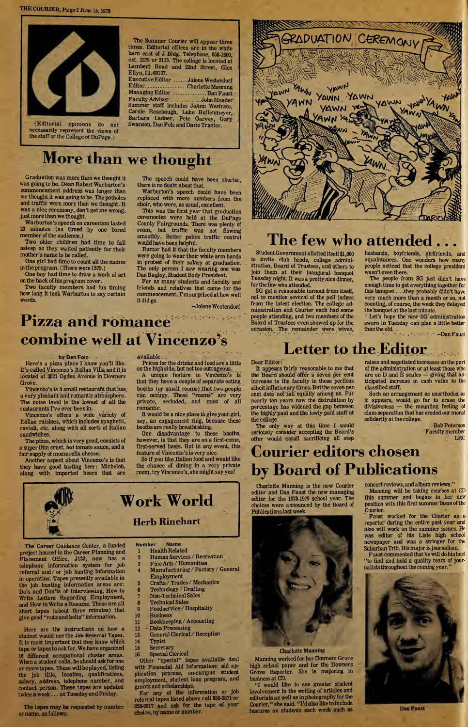THE COURIER, Page 2 June 15,1978



(Editorial opinions do not necessarily represent the views o£ the staff or the College of DuPage.)

The Summer Courier will appear three times. Editorial offices are in the white barn east of J Bldg. Telephone, 858-2800, ext. 2379 or 2113. The college is located at Lambert Road and 22nd Street, Glen Ellyn, Ill. 60137.

Executive Editor .....Jolene Westendorf Executive Equior ......Jolene Westendorf<br>Editor...........................Dan Faust<br>Managing Editor ................Dan Faust managing Editor ..............Dan Faust<br>Faculty Adviser.............John Meader<br>Summer staff includes JoAnn Westrate, Carole Rosebaugh, Luke Buffenmeyer, Barbara Ladner, Pete Garvey, Gary Swanson, Dan Folz and DarioTranter.

# More than we thought

Graduation was more than we thought it was going to be. Dean Robert Warburton's commencement address was longer than we thought it was going to be. The potholes and traffic were more than we thought. It was a nice ceremony, don't get me wrong, just more than we thought.

Warburton's speech on careerism lasted 23 minutes (as timed by one bored member of the audience.)

Two older children had time to fall asleep as they waited patiently for their mother's name to be called.

One girl had time to count all the names in the program. (There were 1575.)

One boy had time to draw a work of art on the back of his program cover.

Two faculty members had fun timing how long it took Warburton to say certain words.

The speech could have been shorter, there is no doubt about that. Warburton's speech could have been

replaced with more numbers from the choir, who were, as usual, excellent.

This was the first year that graduation ceremonies were held at the DuPage County Fairgrounds. There was plenty of room, but traffic was not flowing smoothly. Better police traffic control would have been helpful.

Rumor had it that the faculty members were going to wear their white arm bands in protest of their salary at graduation. The only person I saw wearing one was Dan Bagley, Student Body President.

For as many students and faculty and friends and relatives that came for the commencement, I'm surprised at how well it did go.

-Jolene Westendorf

# Pizza and romance combine well at Vincenzo's

#### by Dan Foiz .

Here's a pizza place I know you'll like. It's called Vincenzo's Italian Villa and it is located at <sup>2021</sup> Ogden Avenue in Downers Grove.

Vincenzo's is a small restaurant that has a very pleasant and romantic atmosphere. The noise level is the lowest of all the restaurants I've ever been in.

Vincenzo's offers a wide variety of Italian cuisines, which includes spaghetti, ravioli, etc. along with all sorts of Italian sandwiches.

The pizza, which is very good, consists of a superthin crust, hot tomato sauce, and a fair supply of mozzarella cheese.

Another aspect about Vincenzo's is that they have good tasting beer: Michelob, along with imported beers that are

available. Prices for the drinks and food are a little on the high side, but not too outrageous.

A unique feature in Vincenzo's is that they have a couple of separate eating booths (or small rooms) .that, two.people can occupy. These "rooms" are very private, secluded, and most of all romantic.

It would be a nice place to giveyour girl, say, an engagement ring, because these booths are really breathtaking.

One disadvantage to these booths, however, is that they are on a first-come, first-served basis. But in any event, this feature of Vincenzo's is very nice.

So if you like Italian food and would like the chance of dining in a very private room, try Vincenzo's, she might say yes!

# Work World Herb Rinehart

The Career Guidance Center, a funded project housed in the Career Planning and Placement Office, J123, now has a telephone information system for job referral and/or job hunting information in operation. Tapes presently available in the job hunting information areas are: Do's and Don'ts of Interviewing, How to Write Letters Regarding Employment, and How to Write a Resume. These are all short tapes (about three minutes) that give good "nuts and bolts" information.

Here are the instructions on how a student would use the Job Referral Tapes. It is most important that they know which tape ortapesto ask for. We have organized 16 different occupational cluster areas. When a student calls, he should ask for one or more tapes. These will be played, listing the job title, location, qualifications, salary, address, telephone number, and contact person. These tapes are updated twice a week... on Tuesday and Friday.

The tapes may be requested by number orname, asfollows:

Number Name **Health Related** 

- Human Services / Recreation
- Fine Arts / Humanities
- <sup>4</sup> Manufacturing / Factory / General
- Employment
- 5 Crafts / Trades / Mechanics<br>6 Technology / Drafting <sup>6</sup> Technology / Drafting
- 7 Non-Technical Sales
- 8 Technical Sales
- <sup>9</sup> Foodservice / Hospitality
- 10 Business
- <sup>11</sup> Bookkeeping / Accounting
- 12 Data Processing
- <sup>13</sup> General Clerical / Reception
- 14 Typist
- 15 Secretary
- 16 Special Clerical

Other "special" tapes available deal with Financial Aid Information: aid application process, on-campus student employment, student loan program, and grants and scholarships.

Eor any of the information or job referral tapes listed above,call 858-2871 or 858-2917 and ask for the tape of your choice, by name or number.



## The few who attended

Student Government allotted itself \$1,000 to invite club heads, college administration, Board of Trustees, and others to join them at their inaugural banquet Tuesday night. It was a pretty nice dinner, for the few who attended.

SG got a reasonable turnout from itself, not to mention several of the poll judges from the latest election. The college administration and Courier each had some people attending, and two members of the Board of Trustees even showed up for the occasion. The remainder were wives, husbands, boyfriends, girlfriends, and aquaintances. One wonders how many people noticed that the college president wasn't even there.

The people from SG just didn't have enough time to get everything together for this banquet. . .they probably didn't have very much more than a month or so, not counting, of course, the week they delayed the banquet at the last minute.

Let's hope the'new SG'administration sworn in Tuesday can plan a little better than the old.  $\ldots$   $\ldots$  -Dan Faust

### Letter to the Editor

#### Dear Editor:

It appears fairly reasonable to me that the Board should offer a seven per cent increase to the faculty in these perilous albeit inflationary times. Butthe seven percent does not fall equally among us. For nearly ten years now the distrubition by percentage has widened the gap between the highly paid and the lowly paid staff at the college.

The only way at this time I would seriously consider accepting the Board's offer would entail sacrificing all step raises and negotiated increases on the part of the administration or at least those who are on D and  $\dot{E}$  scales  $\dot{-}$  giving that anticipated increase in cash value to the classified staff.

Such an arrangement as unorthodox as it appears, would go far to erase the divisiveness — the mounting feeling of class separation that has eroded our moral solidarity at the college.

Bob Peterson Faculty member LRC

# Courier editors chosen by Board of Publications

Charlotte Manning is the new Courier editor and Dan Faust the new managing editor for the 1978-1979 school year. The choices were announced by the Board of Publicationslast week.



Manning worked for her Downers Grove high school paper and for the Downers Grove Reporter. She is majoring in business at CD.

"I would like to see greater student involvement in the writing of articles and editorials as well as in photography forthe Courier," she said. "I'd also like to include features on students each week such as

concert reviews, and album reviews." Manning will be taking courses at CD this summer and begins in her new position with this first summer issue of the Courier.

Faust worked for the Courier as a reporter during the entire past year and also will work on the summer issues. He was editor of his Lisle high school newspaper and was a stringer for the Suburban Trib. His major is journalism. Faust commented that he will do his best "to find and hold a quality team of journaliststhroughout the coming year."



Dan Faust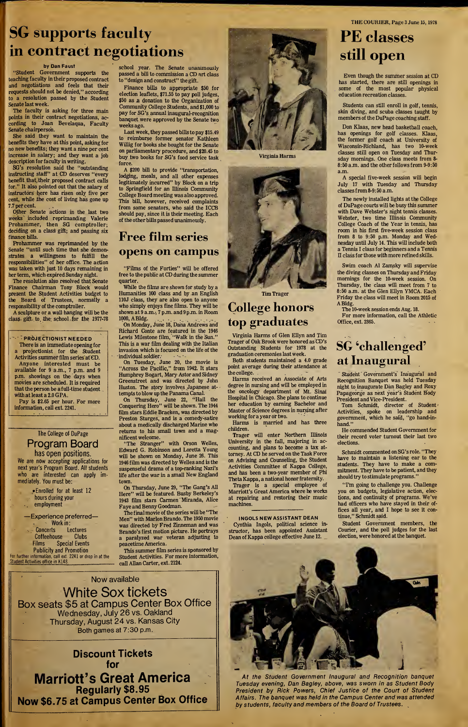# SG supports faculty in contract negotiations

#### by Dan Faust

"Student Government supports the teaching faculty in their proposed contract and negotiations and feels that their requests should not be denied," according to a resolution passed by the Student Senate last week.

The faculty is asking for three main points in their contract negotiations, according to Joan Bevelaqua, Faculty-Senate chairperson.

She said they want to maintain the benefits they have at this point, asking for no new benefits; they want a nine per cent increase in salary; and they want a job description for faculty in writing.

SG's resolution said the "outstanding instructing staff" at CD deserves "every benefit that their proposed contract calls for." It also pointed out that the salary of instructors here has risen only five per cent, while the cost of living has gone up 7.7 per cent.

Other Senate actions in the last two weeks' included reprimanding Valerie Prohammer, then SG comptroller; deciding on a class gift; and passing six finance bills.

Prohammer was reprimanded by the Senate "until such time that she demonstrates a willingness to fulfill the responsibilities" of her office. The action was taken with just 10 days remaining in her term, which expired Sunday night.

The resolution also resolved that Senate Finance Chairman Tony Block would present the Student Activities budget to the Board of Trustees, normally a responsibility of the comptroller.

A sculpture or a wall hanging will be the class- gift- to. the school for the 1977-78

### *FROJECTIONIST NEEDED*

There is an immediate opening for projectionist for the Student Activities summer film series at CD. Anyone interested must be available for 9 a.m., 7 p.m. and 9 p.m. showings on the days when movies are scheduled. It is required that the person be a full-time student with at least a 2.0 GPA.

Pay is \$2.65 per hour. For more information, call ext. 2241.

#### The College of DuPage Program Board

has open positions. We are now accepting applications for next year's Program Board. All students who are interested can apply immediately. You must be:

> •Enrolled for at least 12 hours during your employment

—Experience preferred—

Work in:<br>Concerts Le Lectures<br>e Clubs Coffeehouse

Films Special Events Publicity and Promotion

For further information, call ext. 2241 or drop in at the Student Activities office in K148.

school year. The Senate unanimously passed a bill to commission a CD art class to "design and construct" the gift.

Finance bills to appropriate \$50 for election leaflets, \$71.55 to pay poll judges, \$50 as a donation to the Organization of Community College Students, and \$1,000 to pay for SG's annual inaugural-recognition banquet were approved by the Senate two weeks ago.

Last week, they passed bills to pay \$15.49 to reimburse former senator Kathleen Willig for books she bought for the Senate on parliamentary procedure, and \$20.45 to buy two books for SG's food service task force.

A \$200 bill to provide "transportation, lodging, meals, and all other expenses legitimately incurred" by Block on a trip to Springfield for an Illinois Community College Board meeting was also approved. This bill, however, received complaints from some senators, who said the ICCB should pay, since it is their meeting. Each of the other bills passed unanimously.

### Free film series opens on campus

"Films of the Forties" will be offered free to the public at CD during the summer quarter.

While the films are shown for study by a Humanities 100 class and by an English 110J class, they are also open to anyone who simply enjoys fine films. They will be shown at 9 a.m., 7 p.m. and 9 p.m. in Room 1000, A Bldg.

On Monday, June 18, Dana Andrews and Richard Conte are featured in the 1946 Lewis Milestone film, "Walk in the Sun." This is a war film dealing with the Italian invasion which is focused on the life of the individual soldier.

On Tuesday, June 20, the movie is "Across the Pacific," from 1942. It stars Humphrey Bogart, Mary Astor and Sidney Greenstreet and was directed by John Huston. The story involves Japanese attempts to blow up the Panama Canal.

On Thursday, June 22, "Hail the Conquering Hero" will be shown. The 1944 film stars Eddie Bracken, was directed by Preston Sturges, and is a comedy-satire about a medically discharged Marine who returns to his small town and a magnificent welcome.

"The Stranger" with Orson Welles, Edward G. Robinson and Loretta Young will be shown on Monday, June 26. This 1946 film was directed by Welles and is the suspenseful drama of a top-ranking Nazi's life after the war in a small New England town.

On Thursday, June 29, "The Gang's All Here" will be featured. Busby Berkeley's 1943 film stars Carmen Miranda, Alice Faye and Benny Goodman.

The final movie of the series will be "The Men" with Marlon Brando. The 1950 movie was directed by Fred Zinneman and was Brando's first motion picture. He portrays a paralyzed war veteran adjusting to peacetime America.

This summer film series is sponsored by Student Activities. For more information, call Allan Carter, ext. 2124.

Now available

White Sox tickets Box seats \$5 at Campus Center Box Office Wednesday, July 26 vs. Oakland Thursday, August 24 vs. Kansas City Both games at 7:30 p.m.

Discount Tickets for Marriott's Great America Regularly \$8.95 Now \$6.75 at Campus Center Box Office



Virginia Harms



Tim Trager

### College honors top graduates

Virginia Harms of Glen Ellyn and Tim Trager of Oak Brook were honored as CD's Outstanding Students for <sup>1978</sup> at the graduation ceremonieslast week.

Both students maintained a 4.0 grade point average during their attendance at the college.

Harms received an Associate of Arts degree in nursing and will be employed in the oncology department of Mt. Sinai Hospital in Chicago. She plans to continue her education by earning Bachelor and Master of Science degrees in nursing after working for a year or two.

Harms is married and has three children.

Trager will enter Northern Illinois University in the fall, majoring in accounting, and plans to become a tax attorney. At CD he served on the Task Force on Advising and Counseling, the Student Activities Committee of Kappa College, and has been a two-year member of Phi Theta Kappa, a national honor fraternity.

Trager is a special employee of Marriott's Great America where he works at repairing and restoring their music machines.

INGOLS NEW ASSISTANT DEAN

Cynthia Ingols, political science in structor, has been appointed Assistant Dean of Kappa college effective June 12.

THE COURIER, Page 3 June 15,1978

## PE classes still open

Even though the summer session at CD has started, there are still openings in some of the most popular physical education recreation classes.

Students can still enroll in golf, tennis, skin diving, and scuba classes taught by members of the DuPage coaching staff.

Don Klaas, new head basketball coach, has openings for golf classes. Klaas, the former golf coach at University of Wisconsin-Richland, has two 10-week classes still open on Tuesday and Thursday mornings. One class meets from 8- 8:50 a.m. and the other follows from 9-9:50 a.m.

A special five-week session will begin July 17 with Tuesday and Thursday classesfrom 8-9:50 a.m.

The newly installed lights at the College of DuPage courts will be busy this summer with Dave Webster's night tennis classes. Webster, two time Illinois Community College Coach of the Year in tennis, has room in his first five-week session class from 8 to 9:50 p.m. Monday and Wednesday until July 14. This will include both a Tennis I class for beginners and a Tennis II class for those with more refined skills.

Swim coach A1 Zamsky will supervise the diving classes on Thursday and Friday mornings for the 10-week session. On Thursday, the class will meet from 7 to 8:50 a.m. at the Glen Ellyn YMCA. Each Friday the class will meet in Room 2015 of

A Bldg. The 10-week session ends Aug. 18.

For more information, call the Athletic Office, ext. 2365.

### SG 'challenged' at Inaugural

Student Government's Inaugural and Recognition Banquet was held Tuesday night to inaugurate Dan Bagley and Roxy Papageorge as next year's Student Body President and Vice-President.

Tom Schmidt, director of Student Activities, spoke on leadership and government, which he said, "go hand-inhand."

He commended Student Government for their record voter turnout their last two elections.

Schmidt commented on SG's role. "They have to maintain a listening ear to the students. They have to make a com mitment. They have to be patient, and they should try to stimulate programs."

"I'm going to challenge you. Challenge you on budgets, legislative action, elections, and continuity of programs. We've had officers who have stayed in their offices all year, and I hope to see it continue," Schmidt said.

Student Government members, the Courier, and the poll judges for the last election, were honored at the banquet.



At the Student Government Inaugural and Recognition banquet Tuesday evening, Dan Bagley, above, was sworn in as Student Body President by Rick Powers, Chief Justice of the Court of Student Affairs. The banquet was held in the Campus Center and was attended by students, faculty and members of the Board of Trustees.